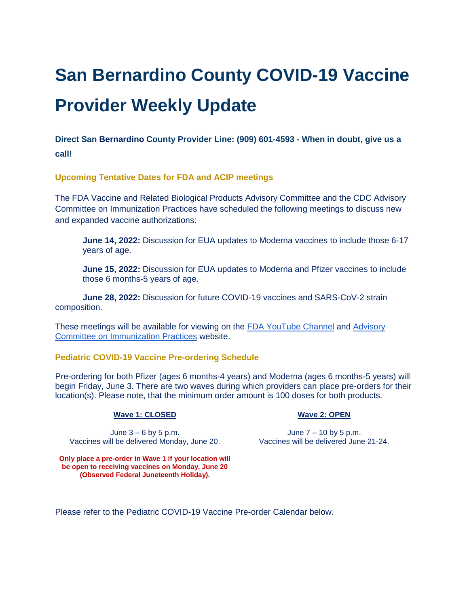# **San Bernardino County COVID-19 Vaccine Provider Weekly Update**

**Direct San Bernardino County Provider Line: (909) 601-4593 - When in doubt, give us a call!**

**Upcoming Tentative Dates for FDA and ACIP meetings** 

The FDA Vaccine and Related Biological Products Advisory Committee and the CDC Advisory Committee on Immunization Practices have scheduled the following meetings to discuss new and expanded vaccine authorizations:

**June 14, 2022:** Discussion for EUA updates to Moderna vaccines to include those 6-17 years of age.

**June 15, 2022:** Discussion for EUA updates to Moderna and Pfizer vaccines to include those 6 months-5 years of age.

**June 28, 2022:** Discussion for future COVID-19 vaccines and SARS-CoV-2 strain composition.

These meetings will be available for viewing on th[e](https://www.youtube.com/channel/UC_giJ3xlEL9jUF1YfJdzzuQ) [FDA YouTube Channel](https://www.youtube.com/channel/UC_giJ3xlEL9jUF1YfJdzzuQ) an[d](https://www.cdc.gov/vaccines/acip/index.html) [Advisory](https://www.cdc.gov/vaccines/acip/index.html)  [Committee on Immunization Practices](https://www.cdc.gov/vaccines/acip/index.html) website.

### **Pediatric COVID-19 Vaccine Pre-ordering Schedule**

Pre-ordering for both Pfizer (ages 6 months-4 years) and Moderna (ages 6 months-5 years) will begin Friday, June 3. There are two waves during which providers can place pre-orders for their location(s). Please note, that the minimum order amount is 100 doses for both products.

#### **Wave 1: CLOSED**

June  $3 - 6$  by 5 p.m. Vaccines will be delivered Monday, June 20. Vaccines will be delivered June 21-24.

### **Wave 2: OPEN**

June 7 – 10 by 5 p.m.

**Only place a pre-order in Wave 1 if your location will be open to receiving vaccines on Monday, June 20 (Observed Federal Juneteenth Holiday).**

Please refer to the Pediatric COVID-19 Vaccine Pre-order Calendar below.